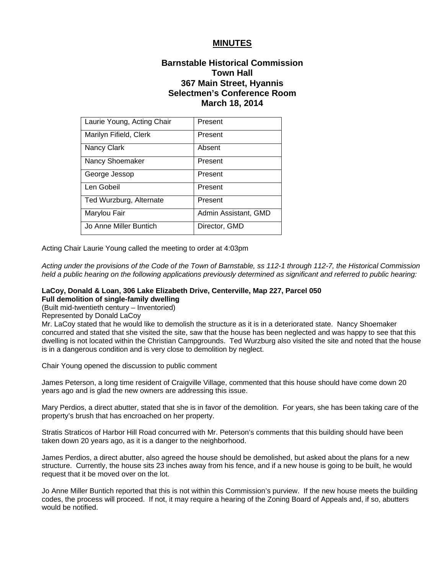# **MINUTES**

# **Barnstable Historical Commission Town Hall 367 Main Street, Hyannis Selectmen's Conference Room March 18, 2014**

| Laurie Young, Acting Chair | Present              |
|----------------------------|----------------------|
| Marilyn Fifield, Clerk     | Present              |
| Nancy Clark                | Absent               |
| Nancy Shoemaker            | Present              |
| George Jessop              | Present              |
| Len Gobeil                 | Present              |
| Ted Wurzburg, Alternate    | Present              |
| Marylou Fair               | Admin Assistant, GMD |
| Jo Anne Miller Buntich     | Director, GMD        |

Acting Chair Laurie Young called the meeting to order at 4:03pm

*Acting under the provisions of the Code of the Town of Barnstable, ss 112-1 through 112-7, the Historical Commission held a public hearing on the following applications previously determined as significant and referred to public hearing:* 

#### **LaCoy, Donald & Loan, 306 Lake Elizabeth Drive, Centerville, Map 227, Parcel 050 Full demolition of single-family dwelling**

(Built mid-twentieth century – Inventoried)

Represented by Donald LaCoy

Mr. LaCoy stated that he would like to demolish the structure as it is in a deteriorated state. Nancy Shoemaker concurred and stated that she visited the site, saw that the house has been neglected and was happy to see that this dwelling is not located within the Christian Campgrounds. Ted Wurzburg also visited the site and noted that the house is in a dangerous condition and is very close to demolition by neglect.

Chair Young opened the discussion to public comment

James Peterson, a long time resident of Craigville Village, commented that this house should have come down 20 years ago and is glad the new owners are addressing this issue.

Mary Perdios, a direct abutter, stated that she is in favor of the demolition. For years, she has been taking care of the property's brush that has encroached on her property.

Stratis Straticos of Harbor Hill Road concurred with Mr. Peterson's comments that this building should have been taken down 20 years ago, as it is a danger to the neighborhood.

James Perdios, a direct abutter, also agreed the house should be demolished, but asked about the plans for a new structure. Currently, the house sits 23 inches away from his fence, and if a new house is going to be built, he would request that it be moved over on the lot.

Jo Anne Miller Buntich reported that this is not within this Commission's purview. If the new house meets the building codes, the process will proceed. If not, it may require a hearing of the Zoning Board of Appeals and, if so, abutters would be notified.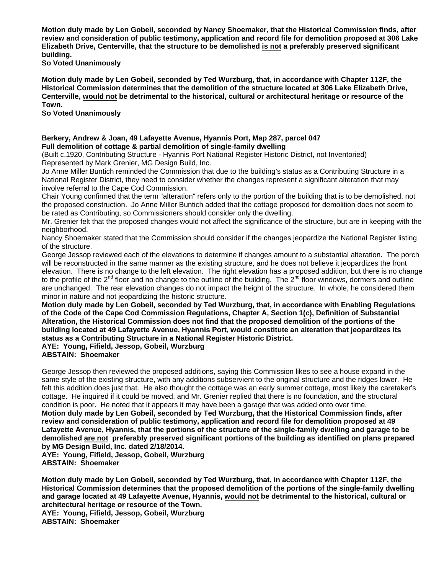**Motion duly made by Len Gobeil, seconded by Nancy Shoemaker, that the Historical Commission finds, after review and consideration of public testimony, application and record file for demolition proposed at 306 Lake Elizabeth Drive, Centerville, that the structure to be demolished is not a preferably preserved significant building.** 

**So Voted Unanimously** 

**Motion duly made by Len Gobeil, seconded by Ted Wurzburg, that, in accordance with Chapter 112F, the Historical Commission determines that the demolition of the structure located at 306 Lake Elizabeth Drive, Centerville, would not be detrimental to the historical, cultural or architectural heritage or resource of the Town.** 

**So Voted Unanimously** 

### **Berkery, Andrew & Joan, 49 Lafayette Avenue, Hyannis Port, Map 287, parcel 047 Full demolition of cottage & partial demolition of single-family dwelling**

(Built c.1920, Contributing Structure - Hyannis Port National Register Historic District, not Inventoried) Represented by Mark Grenier, MG Design Build, Inc.

Jo Anne Miller Buntich reminded the Commission that due to the building's status as a Contributing Structure in a National Register District, they need to consider whether the changes represent a significant alteration that may involve referral to the Cape Cod Commission.

Chair Young confirmed that the term "alteration" refers only to the portion of the building that is to be demolished, not the proposed construction. Jo Anne Miller Buntich added that the cottage proposed for demolition does not seem to be rated as Contributing, so Commissioners should consider only the dwelling.

Mr. Grenier felt that the proposed changes would not affect the significance of the structure, but are in keeping with the neighborhood.

Nancy Shoemaker stated that the Commission should consider if the changes jeopardize the National Register listing of the structure.

George Jessop reviewed each of the elevations to determine if changes amount to a substantial alteration. The porch will be reconstructed in the same manner as the existing structure, and he does not believe it jeopardizes the front elevation. There is no change to the left elevation. The right elevation has a proposed addition, but there is no change to the profile of the  $2^{nd}$  floor and no change to the outline of the building. The  $2^{nd}$  floor windows, dormers and outline are unchanged. The rear elevation changes do not impact the height of the structure. In whole, he considered them minor in nature and not jeopardizing the historic structure.

**Motion duly made by Len Gobeil, seconded by Ted Wurzburg, that, in accordance with Enabling Regulations of the Code of the Cape Cod Commission Regulations, Chapter A, Section 1(c), Definition of Substantial Alteration, the Historical Commission does not find that the proposed demolition of the portions of the building located at 49 Lafayette Avenue, Hyannis Port, would constitute an alteration that jeopardizes its status as a Contributing Structure in a National Register Historic District.** 

**AYE: Young, Fifield, Jessop, Gobeil, Wurzburg** 

**ABSTAIN: Shoemaker** 

George Jessop then reviewed the proposed additions, saying this Commission likes to see a house expand in the same style of the existing structure, with any additions subservient to the original structure and the ridges lower. He felt this addition does just that. He also thought the cottage was an early summer cottage, most likely the caretaker's cottage. He inquired if it could be moved, and Mr. Grenier replied that there is no foundation, and the structural condition is poor. He noted that it appears it may have been a garage that was added onto over time. **Motion duly made by Len Gobeil, seconded by Ted Wurzburg, that the Historical Commission finds, after review and consideration of public testimony, application and record file for demolition proposed at 49 Lafayette Avenue, Hyannis, that the portions of the structure of the single-family dwelling and garage to be demolished are not preferably preserved significant portions of the building as identified on plans prepared by MG Design Build, Inc. dated 2/18/2014.** 

**AYE: Young, Fifield, Jessop, Gobeil, Wurzburg ABSTAIN: Shoemaker** 

**Motion duly made by Len Gobeil, seconded by Ted Wurzburg, that, in accordance with Chapter 112F, the Historical Commission determines that the proposed demolition of the portions of the single-family dwelling and garage located at 49 Lafayette Avenue, Hyannis, would not be detrimental to the historical, cultural or architectural heritage or resource of the Town.** 

**AYE: Young, Fifield, Jessop, Gobeil, Wurzburg ABSTAIN: Shoemaker**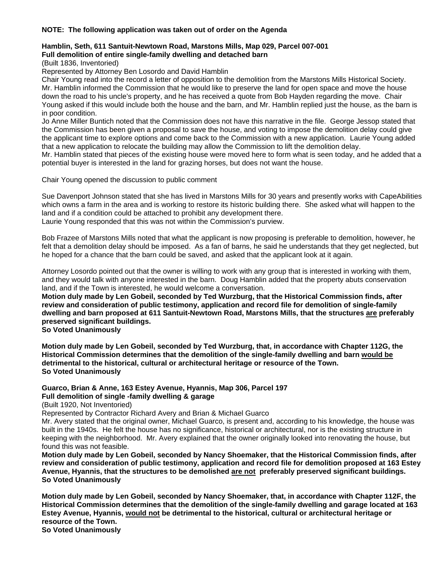## **NOTE: The following application was taken out of order on the Agenda**

#### **Hamblin, Seth, 611 Santuit-Newtown Road, Marstons Mills, Map 029, Parcel 007-001 Full demolition of entire single-family dwelling and detached barn**

(Built 1836, Inventoried)

Represented by Attorney Ben Losordo and David Hamblin

Chair Young read into the record a letter of opposition to the demolition from the Marstons Mills Historical Society. Mr. Hamblin informed the Commission that he would like to preserve the land for open space and move the house down the road to his uncle's property, and he has received a quote from Bob Hayden regarding the move. Chair Young asked if this would include both the house and the barn, and Mr. Hamblin replied just the house, as the barn is in poor condition.

Jo Anne Miller Buntich noted that the Commission does not have this narrative in the file. George Jessop stated that the Commission has been given a proposal to save the house, and voting to impose the demolition delay could give the applicant time to explore options and come back to the Commission with a new application. Laurie Young added that a new application to relocate the building may allow the Commission to lift the demolition delay.

Mr. Hamblin stated that pieces of the existing house were moved here to form what is seen today, and he added that a potential buyer is interested in the land for grazing horses, but does not want the house.

Chair Young opened the discussion to public comment

Sue Davenport Johnson stated that she has lived in Marstons Mills for 30 years and presently works with CapeAbilities which owns a farm in the area and is working to restore its historic building there. She asked what will happen to the land and if a condition could be attached to prohibit any development there. Laurie Young responded that this was not within the Commission's purview.

Bob Frazee of Marstons Mills noted that what the applicant is now proposing is preferable to demolition, however, he felt that a demolition delay should be imposed. As a fan of barns, he said he understands that they get neglected, but he hoped for a chance that the barn could be saved, and asked that the applicant look at it again.

Attorney Losordo pointed out that the owner is willing to work with any group that is interested in working with them, and they would talk with anyone interested in the barn. Doug Hamblin added that the property abuts conservation land, and if the Town is interested, he would welcome a conversation.

**Motion duly made by Len Gobeil, seconded by Ted Wurzburg, that the Historical Commission finds, after review and consideration of public testimony, application and record file for demolition of single-family dwelling and barn proposed at 611 Santuit-Newtown Road, Marstons Mills, that the structures are preferably preserved significant buildings.** 

**So Voted Unanimously** 

**Motion duly made by Len Gobeil, seconded by Ted Wurzburg, that, in accordance with Chapter 112G, the Historical Commission determines that the demolition of the single-family dwelling and barn would be detrimental to the historical, cultural or architectural heritage or resource of the Town. So Voted Unanimously** 

# **Guarco, Brian & Anne, 163 Estey Avenue, Hyannis, Map 306, Parcel 197 Full demolition of single -family dwelling & garage**

(Built 1920, Not Inventoried)

Represented by Contractor Richard Avery and Brian & Michael Guarco

Mr. Avery stated that the original owner, Michael Guarco, is present and, according to his knowledge, the house was built in the 1940s. He felt the house has no significance, historical or architectural, nor is the existing structure in keeping with the neighborhood. Mr. Avery explained that the owner originally looked into renovating the house, but found this was not feasible.

**Motion duly made by Len Gobeil, seconded by Nancy Shoemaker, that the Historical Commission finds, after review and consideration of public testimony, application and record file for demolition proposed at 163 Estey Avenue, Hyannis, that the structures to be demolished are not preferably preserved significant buildings. So Voted Unanimously** 

**Motion duly made by Len Gobeil, seconded by Nancy Shoemaker, that, in accordance with Chapter 112F, the Historical Commission determines that the demolition of the single-family dwelling and garage located at 163 Estey Avenue, Hyannis, would not be detrimental to the historical, cultural or architectural heritage or resource of the Town.** 

**So Voted Unanimously**